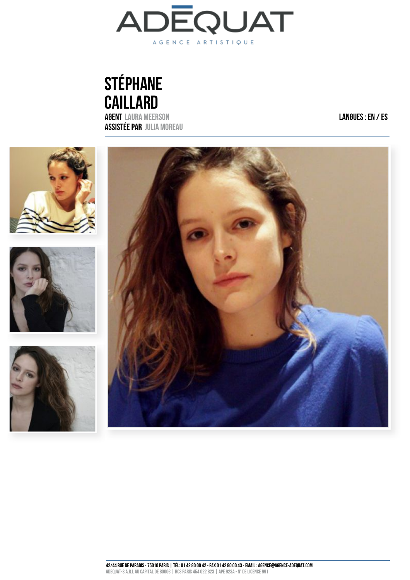

# STÉPHANE **CAILLARD** AGENT  [LAURA MEERSON](mailto:)

ASSISTÉE PAR  [JULIA MOREAU](mailto:j.moreau@agence-adequat.com)

LANGUES : EN / ES

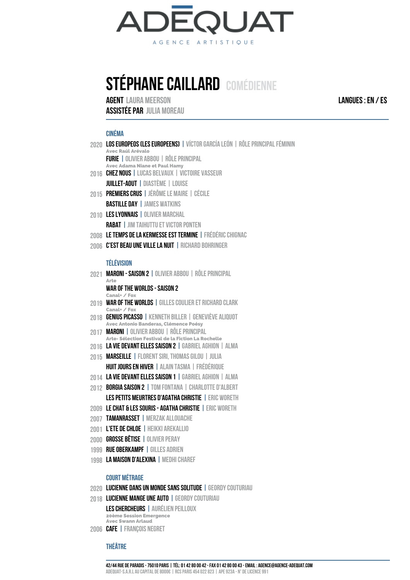

# STÉPHANE CAILLARD COMÉDIENNE

AGENT  [LAURA MEERSON](mailto:)

ASSISTÉE PAR  [JULIA MOREAU](mailto:j.moreau@agence-adequat.com)

#### CINÉMA

- 2020 **los Europeos (les Europeens) |** victor garcia león | rôle principal féminin **Avec Raúl Arévalo** FURIE | OLIVIER ABBOU | RÔLE PRINCIPAL **Avec Adama Niane et Paul Hamy**
- 2016 CHEZ NOUS | LUCAS BELVAUX | VICTOIRE VASSEUR JUILLET-AOUT | DIASTÈME | LOUISE
- 2015 PREMIERS CRUS | JÉRÔME LE MAIRE | CÉCILE BASTILLE DAY | JAMES WATKINS
- 2010 LES LYONNAIS | OLIVIER MARCHAL RABAT | JIM TAIHUTTU ET VICTOR PONTEN
- 2008 LE TEMPS DE LA KERMESSE EST TERMINE | FRÉDÉRIC CHIGNAC
- 2006 C'EST BEAU UNE VILLE LA NUIT | RICHARD BOHRINGER

#### TÉLÉVISION

- 2021 MARONI SAISON 2 | OLIVIER ABBOU | RÔLE PRINCIPAL **Arte** WAR OF THE WORLDS - SAISON 2 **Canal+ / Fox**
- 2019 WAR OF THE WORLDS | GILLES COULIER ET RICHARD CLARK **Canal+ / Fox**
- 2018 GENIUS PICASSO | KENNETH BILLER | GENEVIÈVE ALIQUOT **Avec Antonio Banderas, Clémence Poésy**
- 2017 MARONI | OLIVIER ABBOU | RÔLE PRINCIPAL **Arte- Sélection Festival de la Fiction La Rochelle**
- 2016 LA VIE DEVANT ELLES SAISON 2 | GABRIEL AGHION | ALMA
- 2015 MARSEILLE | FLORENT SIRI, THOMAS GILOU | JULIA HUIT JOURS EN HIVER | ALAIN TASMA | FRÉDÉRIQUE
- 2014 LA VIE DEVANT ELLES SAISON 1 | GABRIEL AGHION | ALMA
- 2012 BORGIA SAISON 2 | TOM FONTANA | CHARLOTTE D'ALBERT LES PETITS MEURTRES D'AGATHA CHRISTIE | ERIC WORETH
- 2009 LE CHAT & LES SOURIS AGATHA CHRISTIE | ERIC WORETH
- 2007 TAMANRASSET | MERZAK ALLOUACHE
- 2001 L'ETE DE CHLOE | HEIKKI AREKALLIO
- 2000 GROSSE BÊTISE | OLIVIER PERAY
- 1999 RUE OBERKAMPF | GILLES ADRIEN
- 1998 LA MAISON D'ALEXINA | MEDHI CHAREF

#### COURT MÉTRAGE

- 2020 LUCIENNE DANS UN MONDE SANS SOLITUDE | GEORDY COUTURIAU
- 2018 LUCIENNE MANGE UNE AUTO | GEORDY COUTURIAU

LES CHERCHEURS | AURÉLIEN PEILLOUX **20ème Session Emergence Avec Swann Arlaud**

2006 CAFE | FRANÇOIS NEGRET

## THÉÂTRE

LANGUES : EN / ES